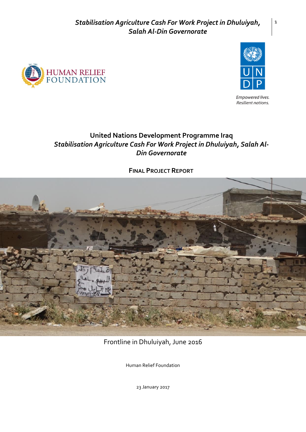



Empowered lives. Resilient nations.

# **United Nations Development Programme Iraq** *Stabilisation Agriculture Cash For Work Project in Dhuluiyah, Salah Al-Din Governorate*

**FINAL PROJECT REPORT**



Frontline in Dhuluiyah, June 2016

Human Relief Foundation

23 January 2017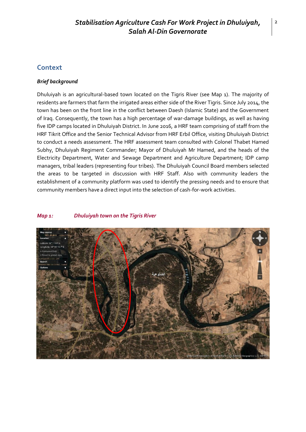## **Context**

#### *Brief background*

Dhuluiyah is an agricultural-based town located on the Tigris River (see Map 1). The majority of residents are farmers that farm the irrigated areas either side of the River Tigris. Since July 2014, the town has been on the front line in the conflict between Daesh (Islamic State) and the Government of Iraq. Consequently, the town has a high percentage of war-damage buildings, as well as having five IDP camps located in Dhuluiyah District. In June 2016, a HRF team comprising of staff from the HRF Tikrit Office and the Senior Technical Advisor from HRF Erbil Office, visiting Dhuluiyah District to conduct a needs assessment. The HRF assessment team consulted with Colonel Thabet Hamed Subhy, Dhuluiyah Regiment Commander; Mayor of Dhuluiyah Mr Hamed, and the heads of the Electricity Department, Water and Sewage Department and Agriculture Department; IDP camp managers, tribal leaders (representing four tribes). The Dhuluiyah Council Board members selected the areas to be targeted in discussion with HRF Staff. Also with community leaders the establishment of a community platform was used to identify the pressing needs and to ensure that community members have a direct input into the selection of cash-for-work activities.

#### *Map 1: Dhuluiyah town on the Tigris River*

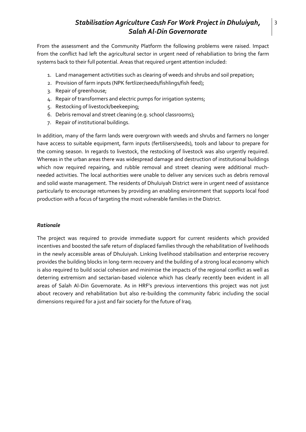From the assessment and the Community Platform the following problems were raised. Impact from the conflict had left the agricultural sector in urgent need of rehabiliation to bring the farm systems back to their full potential. Areas that required urgent attention included:

- 1. Land management activtities such as clearing of weeds and shrubs and soil prepation;
- 2. Provision of farm inputs (NPK fertlizer/seeds/fishlings/fish feed);
- 3. Repair of greenhouse;
- 4. Repair of transformers and electric pumps for irrigation systems;
- 5. Restocking of livestock/beekeeping;
- 6. Debris removal and street cleaning (e.g. school classrooms);
- 7. Repair of institutional buildings.

In addition, many of the farm lands were overgrown with weeds and shrubs and farmers no longer have access to suitable equipment, farm inputs (fertilisers/seeds), tools and labour to prepare for the coming season. In regards to livestock, the restocking of livestock was also urgently required. Whereas in the urban areas there was widespread damage and destruction of institutional buildings which now required repairing, and rubble removal and street cleaning were additional muchneeded activities. The local authorities were unable to deliver any services such as debris removal and solid waste management. The residents of Dhuluiyah District were in urgent need of assistance particularly to encourage returnees by providing an enabling environment that supports local food production with a focus of targeting the most vulnerable families in the District.

#### *Rationale*

The project was required to provide immediate support for current residents which provided incentives and boosted the safe return of displaced families through the rehabilitation of livelihoods in the newly accessible areas of Dhuluiyah. Linking livelihood stabilisation and enterprise recovery provides the building blocks in long-term recovery and the building of a strong local economy which is also required to build social cohesion and minimise the impacts of the regional conflict as well as deterring extremism and sectarian-based violence which has clearly recently been evident in all areas of Salah Al-Din Governorate. As in HRF's previous interventions this project was not just about recovery and rehabilitation but also re-building the community fabric including the social dimensions required for a just and fair society for the future of Iraq.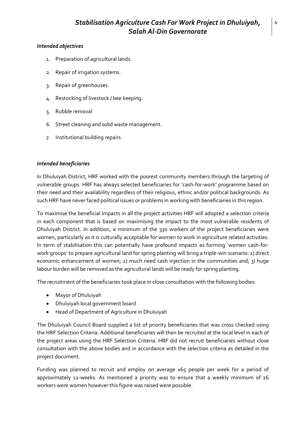#### *Intended objectives*

- 1. Preparation of agricultural lands.
- 2. Repair of irrigation systems.
- 3. Repair of greenhouses.
- 4. Restocking of livestock / bee keeping.
- 5. Rubble removal
- 6. Street cleaning and solid waste management.
- 7. Institutional building repairs.

### *Intended beneficiaries*

In Dhuluiyah District, HRF worked with the poorest community members through the targeting of vulnerable groups. HRF has always selected beneficiaries for 'cash-for-work' programme based on their need and their availability regardless of their religious, ethnic and/or political backgrounds. As such HRF have never faced political issues or problems in working with beneficiaries in this region.

To maximise the beneficial impacts in all the project activities HRF will adopted a selection criteria in each component that is based on maximising the impact to the most vulnerable residents of Dhuluiyah District. In addition, a minimum of the 330 workers of the project beneficiaries were women, particularly as it is culturally acceptable for women to work in agriculture related activities. In term of stabilisation this can potentially have profound impacts as forming 'women cash-forwork groups' to prepare agricultural land for spring planting will bring a triple-win scenario: 1) direct economic enhancement of women; 2) much need cash injection in the communities and; 3) huge labour burden will be removed as the agricultural lands will be ready for spring planting.

The recruitment of the beneficiaries took place in close consultation with the following bodies:

- Mayor of Dhuluiyah
- Dhuluiyah local government board
- Head of Department of Agriculture in Dhuluiyah

The Dhuluiyah Council Board supplied a list of priority beneficiaries that was cross checked using the HRF Selection Criteria. Additional beneficiaries will then be recruited at the local level in each of the project areas using the HRF Selection Criteria. HRF did not recruit beneficiaries without close consultation with the above bodies and in accordance with the selection criteria as detailed in the project document.

Funding was planned to recruit and employ on average x65 people per week for a period of approximately 12-weeks. As mentioned a priority was to ensure that a weekly minimum of 26 workers were women however this figure was raised were possible.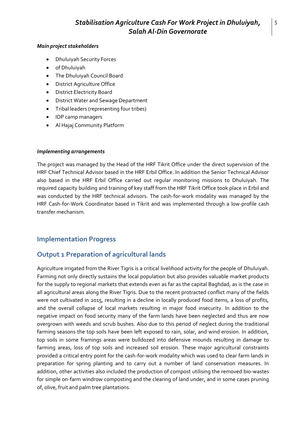#### *Main project stakeholders*

- Dhuluiyah Security Forces
- **•** of Dhuluiyah
- The Dhuluiyah Council Board
- District Agriculture Office
- District Electricity Board
- District Water and Sewage Department
- Tribal leaders (representing four tribes)
- IDP camp managers
- Al Hajaj Community Platform

#### *Implementing arrangements*

The project was managed by the Head of the HRF Tikrit Office under the direct supervision of the HRF Chief Technical Advisor based in the HRF Erbil Office. In addition the Senior Technical Advisor also based in the HRF Erbil Office carried out regular monitoring missions to Dhuluiyah. The required capacity building and training of key staff from the HRF Tikrit Office took place in Erbil and was conducted by the HRF technical advisors. The cash-for-work modality was managed by the HRF Cash-for-Work Coordinator based in Tikrit and was implemented through a low-profile cash transfer mechanism.

## **Implementation Progress**

## **Output 1 Preparation of agricultural lands**

Agriculture irrigated from the River Tigris is a critical livelihood activity for the people of Dhuluiyah. Farming not only directly sustains the local population but also provides valuable market products for the supply to regional markets that extends even as far as the capital Baghdad, as is the case in all agricultural areas along the River Tigris. Due to the recent protracted conflict many of the fields were not cultivated in 2015, resulting in a decline in locally produced food items, a loss of profits, and the overall collapse of local markets resulting in major food insecurity. In addition to the negative impact on food security many of the farm lands have been neglected and thus are now overgrown with weeds and scrub bushes. Also due to this period of neglect during the traditional farming seasons the top soils have been left exposed to rain, solar, and wind erosion. In addition, top soils in some framings areas were bulldozed into defensive mounds resulting in damage to farming areas, loss of top soils and increased soil erosion. These major agricultural constraints provided a critical entry point for the cash-for-work modality which was used to clear farm lands in preparation for spring planting and to carry out a number of land conservation measures. In addition, other activities also included the production of compost utilising the removed bio-wastes for simple on-farm windrow composting and the clearing of land under, and in some cases pruning of, olive, fruit and palm tree plantations.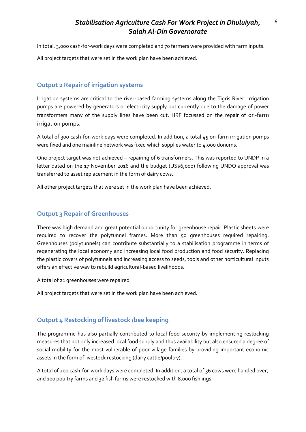In total, 3,000 cash-for-work days were completed and 70 farmers were provided with farm inputs. All project targets that were set in the work plan have been achieved.

## **Output 2 Repair of irrigation systems**

Irrigation systems are critical to the river-based farming systems along the Tigris River. Irrigation pumps are powered by generators or electricity supply but currently due to the damage of power transformers many of the supply lines have been cut. HRF focussed on the repair of on-farm irrigation pumps.

A total of 300 cash-for-work days were completed. In addition, a total 45 on-farm irrigation pumps were fixed and one mainline network was fixed which supplies water to 4,000 donums.

One project target was not achieved – repairing of 6 transformers. This was reported to UNDP in a letter dated on the 17 November 2016 and the budget (US\$6,000) following UNDO approval was transferred to asset replacement in the form of dairy cows.

All other project targets that were set in the work plan have been achieved.

## **Output 3 Repair of Greenhouses**

There was high demand and great potential opportunity for greenhouse repair. Plastic sheets were required to recover the polytunnel frames. More than 50 greenhouses required repairing. Greenhouses (polytunnels) can contribute substantially to a stabilisation programme in terms of regenerating the local economy and increasing local food production and food security. Replacing the plastic covers of polytunnels and increasing access to seeds, tools and other horticultural inputs offers an effective way to rebuild agricultural-based livelihoods.

A total of 21 greenhouses were repaired.

All project targets that were set in the work plan have been achieved.

### **Output 4 Restocking of livestock /bee keeping**

The programme has also partially contributed to local food security by implementing restocking measures that not only increased local food supply and thus availability but also ensured a degree of social mobility for the most vulnerable of poor village families by providing important economic assets in the form of livestock restocking (dairy cattle/poultry).

A total of 200 cash-for-work days were completed. In addition, a total of 36 cows were handed over, and 100 poultry farms and 32 fish farms were restocked with 8,000 fishlings.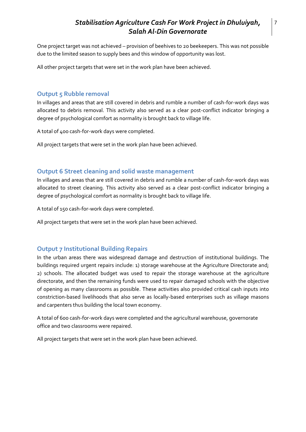One project target was not achieved – provision of beehives to 20 beekeepers. This was not possible due to the limited season to supply bees and this window of opportunity was lost.

All other project targets that were set in the work plan have been achieved.

## **Output 5 Rubble removal**

In villages and areas that are still covered in debris and rumble a number of cash-for-work days was allocated to debris removal. This activity also served as a clear post-conflict indicator bringing a degree of psychological comfort as normality is brought back to village life.

A total of 400 cash-for-work days were completed.

All project targets that were set in the work plan have been achieved.

## **Output 6 Street cleaning and solid waste management**

In villages and areas that are still covered in debris and rumble a number of cash-for-work days was allocated to street cleaning. This activity also served as a clear post-conflict indicator bringing a degree of psychological comfort as normality is brought back to village life.

A total of 150 cash-for-work days were completed.

All project targets that were set in the work plan have been achieved.

## **Output 7 Institutional Building Repairs**

In the urban areas there was widespread damage and destruction of institutional buildings. The buildings required urgent repairs include: 1) storage warehouse at the Agriculture Directorate and; 2) schools. The allocated budget was used to repair the storage warehouse at the agriculture directorate, and then the remaining funds were used to repair damaged schools with the objective of opening as many classrooms as possible. These activities also provided critical cash inputs into constriction-based livelihoods that also serve as locally-based enterprises such as village masons and carpenters thus building the local town economy.

A total of 600 cash-for-work days were completed and the agricultural warehouse, governorate office and two classrooms were repaired.

All project targets that were set in the work plan have been achieved.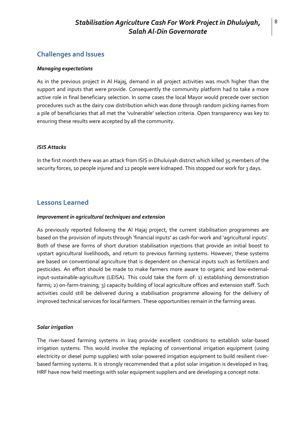## **Challenges and Issues**

#### *Managing expectations*

As in the previous project in Al Hajaj, demand in all project activities was much higher than the support and inputs that were provide. Consequently the community platform had to take a more active role in final beneficiary selection. In some cases the local Mayor would precede over section procedures such as the dairy cow distribution which was done through random picking names from a pile of beneficiaries that all met the 'vulnerable' selection criteria. Open transparency was key to ensuring these results were accepted by all the community.

#### *ISIS Attacks*

In the first month there was an attack from ISIS in Dhuluiyah district which killed 35 members of the security forces, 10 people injured and 12 people were kidnaped. This stopped our work for 3 days.

## **Lessons Learned**

#### *Improvement in agricultural techniques and extension*

As previously reported following the Al Hajaj project, the current stabilisation programmes are based on the provision of inputs through 'financial inputs' as cash-for-work and 'agricultural inputs'. Both of these are forms of short duration stabilisation injections that provide an initial boost to upstart agricultural livelihoods, and return to previous farming systems. However, these systems are based on conventional agriculture that is dependent on chemical inputs such as fertilizers and pesticides. An effort should be made to make farmers more aware to organic and low-externalinput-sustainable-agriculture (LEISA). This could take the form of: 1) establishing demonstration farms; 2) on-farm-training; 3) capacity building of local agriculture offices and extension staff. Such activities could still be delivered during a stabilisation programme allowing for the delivery of improved technical services for local farmers. These opportunities remain in the farming areas.

#### *Solar irrigation*

The river-based farming systems in Iraq provide excellent conditions to establish solar-based irrigation systems. This would involve the replacing of conventional irrigation equipment (using electricity or diesel pump supplies) with solar-powered irrigation equipment to build resilient riverbased farming systems. It is strongly recommended that a pilot solar irrigation is developed in Iraq. HRF have now held meetings with solar equipment suppliers and are developing a concept note.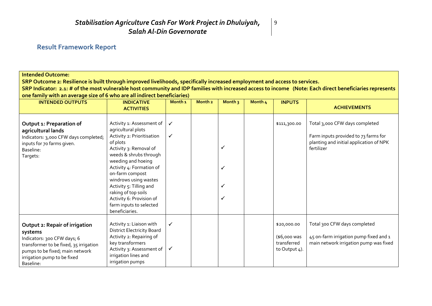## **Result Framework Report**

### **Intended Outcome:**

**SRP Outcome 2: Resilience is built through improved livelihoods, specifically increased employment and access to services.**

**SRP Indicator: 2.1: # of the most vulnerable host community and IDP families with increased access to income (Note: Each direct beneficiaries represents one family with an average size of 6 who are all indirect beneficiaries)** 

9

| <b>INTENDED OUTPUTS</b>                                                                                                                                                                           | <b>INDICATIVE</b><br><b>ACTIVITIES</b>                                                                                                                                                                                                                                                                                                                                 | Month <sub>1</sub> | Month <sub>2</sub> | Month <sub>3</sub> | Month 4 | <b>INPUTS</b>                                               | <b>ACHIEVEMENTS</b>                                                                                                             |
|---------------------------------------------------------------------------------------------------------------------------------------------------------------------------------------------------|------------------------------------------------------------------------------------------------------------------------------------------------------------------------------------------------------------------------------------------------------------------------------------------------------------------------------------------------------------------------|--------------------|--------------------|--------------------|---------|-------------------------------------------------------------|---------------------------------------------------------------------------------------------------------------------------------|
| Output 1: Preparation of<br>agricultural lands<br>Indicators: 3,000 CFW days completed;<br>inputs for 70 farms given.<br>Baseline:<br>Targets:                                                    | Activity 1: Assessment of<br>agricultural plots<br>Activity 2: Prioritisation<br>of plots<br>Activity 3: Removal of<br>weeds & shrubs through<br>weeding and hoeing<br>Activity 4: Formation of<br>on-farm compost<br>windrows using wastes<br>Activity 5: Tilling and<br>raking of top soils<br>Activity 6: Provision of<br>farm inputs to selected<br>beneficiaries. | ✓<br>✓             |                    | ✓<br>√<br>✔<br>✔   |         | \$111,300.00                                                | Total 3,000 CFW days completed<br>Farm inputs provided to 73 farms for<br>planting and initial application of NPK<br>fertilizer |
| Output 2: Repair of irrigation<br>systems<br>Indicators: 300 CFW days; 6<br>transformer to be fixed, 35 irrigation<br>pumps to be fixed; main network<br>irrigation pump to be fixed<br>Baseline: | Activity 1: Liaison with<br><b>District Electricity Board</b><br>Activity 2: Repairing of<br>key transformers<br>Activity 3: Assessment of<br>irrigation lines and<br>irrigation pumps                                                                                                                                                                                 | $\checkmark$<br>✓  |                    |                    |         | \$20,000.00<br>(\$6,000 was<br>transferred<br>to Output 4). | Total 300 CFW days completed<br>45 on-farm irrigation pump fixed and 1<br>main network irrigation pump was fixed                |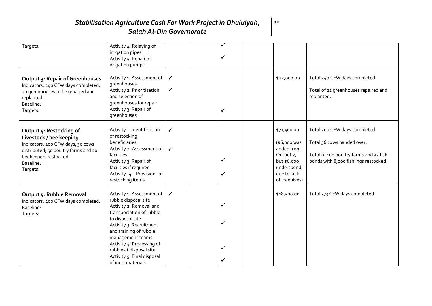| Targets:                                                                                                                                                                          | Activity 4: Relaying of<br>irrigation pipes<br>Activity 5: Repair of<br>irrigation pumps                                                                                                                                                                                                                          |                              | ✓<br>✓      |                                                                                                                    |                                                                                                                                              |
|-----------------------------------------------------------------------------------------------------------------------------------------------------------------------------------|-------------------------------------------------------------------------------------------------------------------------------------------------------------------------------------------------------------------------------------------------------------------------------------------------------------------|------------------------------|-------------|--------------------------------------------------------------------------------------------------------------------|----------------------------------------------------------------------------------------------------------------------------------------------|
| <b>Output 3: Repair of Greenhouses</b><br>Indicators: 240 CFW days completed;<br>20 greenhouses to be repaired and<br>replanted.<br>Baseline:<br>Targets:                         | Activity 1: Assessment of<br>greenhouses<br>Activity 2: Prioritisation<br>and selection of<br>greenhouses for repair<br>Activity 3: Repair of<br>greenhouses                                                                                                                                                      | $\checkmark$<br>$\checkmark$ | ✓           | \$22,000.00                                                                                                        | Total 240 CFW days completed<br>Total of 21 greenhouses repaired and<br>replanted.                                                           |
| Output 4: Restocking of<br>Livestock / bee keeping<br>Indicators: 200 CFW days; 30 cows<br>distributed; 50 poultry farms and 20<br>beekeepers restocked.<br>Baseline:<br>Targets: | Activity 1: Identification<br>of restocking<br>beneficiaries<br>Activity 2: Assessment of<br>facilities<br>Activity 3: Repair of<br>facilities if required<br>Activity 4: Provision of<br>restocking items                                                                                                        | $\checkmark$<br>$\checkmark$ | ✓<br>✓      | \$71,500.00<br>(\$6,000 was<br>added from<br>Output 2,<br>but \$6,000<br>underspend<br>due to lack<br>of beehives) | Total 200 CFW days completed<br>Total 36 cows handed over.<br>Total of 100 poultry farms and 32 fish<br>ponds with 8,000 fishlings restocked |
| <b>Output 5: Rubble Removal</b><br>Indicators: 400 CFW days completed.<br>Baseline:<br>Targets:                                                                                   | Activity 1: Assessment of<br>rubble disposal site<br>Activity 2: Removal and<br>transportation of rubble<br>to disposal site<br>Activity 3: Recruitment<br>and training of rubble<br>management teams<br>Activity 4: Processing of<br>rubble at disposal site<br>Activity 5: Final disposal<br>of inert materials | $\checkmark$                 | ✓<br>✓<br>✓ | \$18,500.00                                                                                                        | Total 373 CFW days completed                                                                                                                 |

 $\vert$  10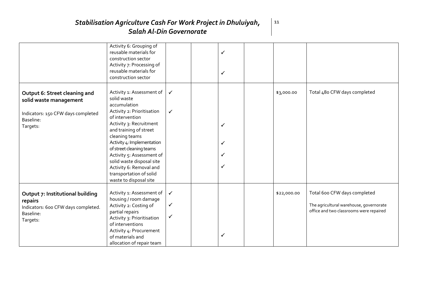|                                                                                                                        | Activity 6: Grouping of<br>reusable materials for<br>construction sector<br>Activity 7: Processing of<br>reusable materials for<br>construction sector                                                                                                                                                                                                                               |                                              | ✓<br>✓           |             |                                                                                                                    |
|------------------------------------------------------------------------------------------------------------------------|--------------------------------------------------------------------------------------------------------------------------------------------------------------------------------------------------------------------------------------------------------------------------------------------------------------------------------------------------------------------------------------|----------------------------------------------|------------------|-------------|--------------------------------------------------------------------------------------------------------------------|
| Output 6: Street cleaning and<br>solid waste management<br>Indicators: 150 CFW days completed<br>Baseline:<br>Targets: | Activity 1: Assessment of<br>solid waste<br>accumulation<br>Activity 2: Prioritisation<br>of intervention<br>Activity 3: Recruitment<br>and training of street<br>cleaning teams<br>Activity 4: Implementation<br>of street cleaning teams<br>Activity 5: Assessment of<br>solid waste disposal site<br>Activity 6: Removal and<br>transportation of solid<br>waste to disposal site | $\checkmark$<br>$\checkmark$                 | ✓<br>✓<br>✓<br>✓ | \$3,000.00  | Total 480 CFW days completed                                                                                       |
| Output 7: Institutional building<br>repairs<br>Indicators: 600 CFW days completed.<br>Baseline:<br>Targets:            | Activity 1: Assessment of<br>housing / room damage<br>Activity 2: Costing of<br>partial repairs<br>Activity 3: Prioritisation<br>of interventions<br>Activity 4: Procurement<br>of materials and<br>allocation of repair team                                                                                                                                                        | $\checkmark$<br>$\checkmark$<br>$\checkmark$ | ✓                | \$22,000.00 | Total 600 CFW days completed<br>The agricultural warehouse, governorate<br>office and two classrooms were repaired |

 $\vert$  11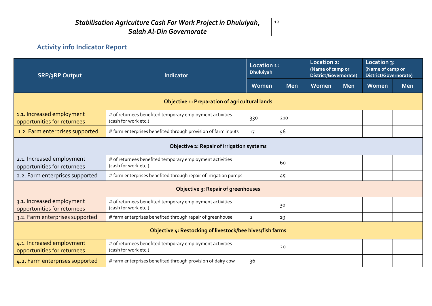# **Activity info Indicator Report**

| <b>SRP/3RP Output</b>                                    | <b>Indicator</b>                                                                 | Location 1:<br><b>Dhuluiyah</b> |            | Location 2:<br>(Name of camp or<br>District/Governorate) |            | Location 3:<br>(Name of camp or<br>District/Governorate) |            |  |  |  |  |  |
|----------------------------------------------------------|----------------------------------------------------------------------------------|---------------------------------|------------|----------------------------------------------------------|------------|----------------------------------------------------------|------------|--|--|--|--|--|
|                                                          |                                                                                  | Women                           | <b>Men</b> | Women                                                    | <b>Men</b> | Women                                                    | <b>Men</b> |  |  |  |  |  |
|                                                          | Objective 1: Preparation of agricultural lands                                   |                                 |            |                                                          |            |                                                          |            |  |  |  |  |  |
| 1.1. Increased employment<br>opportunities for returnees | # of returnees benefited temporary employment activities<br>(cash for work etc.) | 330                             | 210        |                                                          |            |                                                          |            |  |  |  |  |  |
| 1.2. Farm enterprises supported                          | # farm enterprises benefited through provision of farm inputs                    | 17                              | 56         |                                                          |            |                                                          |            |  |  |  |  |  |
| Objective 2: Repair of irrigation systems                |                                                                                  |                                 |            |                                                          |            |                                                          |            |  |  |  |  |  |
| 2.1. Increased employment<br>opportunities for returnees | # of returnees benefited temporary employment activities<br>(cash for work etc.) |                                 | 60         |                                                          |            |                                                          |            |  |  |  |  |  |
| 2.2. Farm enterprises supported                          | # farm enterprises benefited through repair of irrigation pumps                  |                                 | 45         |                                                          |            |                                                          |            |  |  |  |  |  |
| Objective 3: Repair of greenhouses                       |                                                                                  |                                 |            |                                                          |            |                                                          |            |  |  |  |  |  |
| 3.1. Increased employment<br>opportunities for returnees | # of returnees benefited temporary employment activities<br>(cash for work etc.) |                                 | 30         |                                                          |            |                                                          |            |  |  |  |  |  |
| 3.2. Farm enterprises supported                          | # farm enterprises benefited through repair of greenhouse                        | $\overline{2}$                  | 19         |                                                          |            |                                                          |            |  |  |  |  |  |
|                                                          | Objective 4: Restocking of livestock/bee hives/fish farms                        |                                 |            |                                                          |            |                                                          |            |  |  |  |  |  |
| 4.1. Increased employment<br>opportunities for returnees | # of returnees benefited temporary employment activities<br>(cash for work etc.) |                                 | 20         |                                                          |            |                                                          |            |  |  |  |  |  |
| 4.2. Farm enterprises supported                          | # farm enterprises benefited through provision of dairy cow                      | 36                              |            |                                                          |            |                                                          |            |  |  |  |  |  |

 $\vert$  12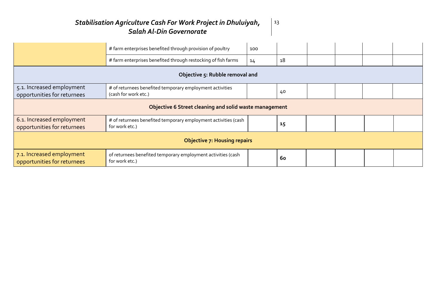|                                                          | # farm enterprises benefited through provision of poultry                        | 100 |    |  |  |  |  |  |  |  |  |  |  |  |
|----------------------------------------------------------|----------------------------------------------------------------------------------|-----|----|--|--|--|--|--|--|--|--|--|--|--|
|                                                          | # farm enterprises benefited through restocking of fish farms                    | 14  | 18 |  |  |  |  |  |  |  |  |  |  |  |
| Objective 5: Rubble removal and                          |                                                                                  |     |    |  |  |  |  |  |  |  |  |  |  |  |
| 5.1. Increased employment<br>opportunities for returnees | # of returnees benefited temporary employment activities<br>(cash for work etc.) |     | 40 |  |  |  |  |  |  |  |  |  |  |  |
| Objective 6 Street cleaning and solid waste management   |                                                                                  |     |    |  |  |  |  |  |  |  |  |  |  |  |
| 6.1. Increased employment<br>opportunities for returnees | # of returnees benefited temporary employment activities (cash<br>for work etc.) |     | 15 |  |  |  |  |  |  |  |  |  |  |  |
| <b>Objective 7: Housing repairs</b>                      |                                                                                  |     |    |  |  |  |  |  |  |  |  |  |  |  |
| 7.1. Increased employment<br>opportunities for returnees | of returnees benefited temporary employment activities (cash<br>for work etc.)   |     | 60 |  |  |  |  |  |  |  |  |  |  |  |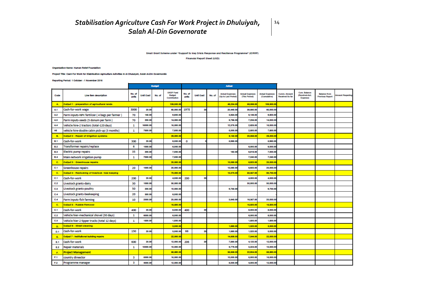#### Small Grant Scheme under "Support to Iraq Cricic Response and Resilience Programme" (ICRRP)

Financial Report Sheet (USD)

 $14$ 

#### **Croanization Name: Human Relief Foundation**

Project Title: Cash For Work for Stabilisation Agriculture Activities in Al Dhululyah, Salah Al-Din Governorate

#### Reporting Period: 1 October - 1 November 2016

|              |                                                  | <b>Budget</b>   |                  |        |                                                   | <b>Actual</b>   |                  |        |                                               |                                         |                                        |                                 |                                                    |                                               |                         |
|--------------|--------------------------------------------------|-----------------|------------------|--------|---------------------------------------------------|-----------------|------------------|--------|-----------------------------------------------|-----------------------------------------|----------------------------------------|---------------------------------|----------------------------------------------------|-----------------------------------------------|-------------------------|
| Code         | Line item decoription                            | No. of<br>units | <b>Unit Cost</b> | No. of | <b>UNDP Fund</b><br><b>Budget</b><br>Contribution | No. of<br>unite | <b>Unit Cost</b> | No. of | <b>Actual Expenses</b><br>(Up to Last Period) | <b>Actual Expenses</b><br>(This Period) | <b>Actual Expenses</b><br>(Cumulative) | Cumm. Amount<br>Received So far | <b>Cum. Balance</b><br>(Received-Act.)<br>Expense) | <b>Balance from</b><br><b>Previous Report</b> | <b>Amount Regesting</b> |
| $\mathbf{A}$ | Output 1 : preparation of agricultural lands     |                 |                  |        | 108,300.00                                        |                 |                  |        | 48,234.00                                     | 68,066.00                               | 108,300.00                             |                                 |                                                    |                                               |                         |
| A1           | Cash-for-work wage                               | 3000            | 20.00            |        | 60,000.00                                         | 1978            | 2                |        | 20,440.00                                     | 38,560.00                               | 60,000.00                              |                                 |                                                    |                                               |                         |
| A2           | Farm inputs-NPK fertilizer (4 bags per farmer)   | 70              | 140.00           |        | 8,800.00                                          |                 |                  |        | 3,854.00                                      | 6,146.00                                | 9,800.00                               |                                 |                                                    |                                               |                         |
| A3           | Farm inputs-seeds (5 donum per farm)             | 70              | 200.00           |        | 14,000.00                                         |                 |                  |        | 6,766.00                                      | 7,235.00                                | 14,000.00                              |                                 |                                                    |                                               |                         |
| Α4           | Vehicle hire-2 tractors (total-120 days)         | 1               | 16000.00         |        | 16,000.00                                         |                 |                  |        | 12,376.0                                      | 2,825.00                                | 16,000.00                              |                                 |                                                    |                                               |                         |
| A5           | vehicle hire-double cabin pick-up (3 months)     | 1               | 7600.00          |        | 7,500.00                                          |                 |                  |        | 5,000.00                                      | 2,600.00                                | 7,500.00                               |                                 |                                                    |                                               |                         |
| <b>B.</b>    | <b>Dutput 2 : Repair of Irrigation systems</b>   |                 |                  |        | 28,000.00                                         |                 |                  |        | 8,142.0                                       | 20,058.00                               | 28,200.00                              |                                 |                                                    |                                               |                         |
| <b>B.1</b>   | Cash-for-work                                    | 300             | 20.00            |        | 6,000.00                                          | 0               |                  |        | 5,960.00                                      |                                         | 6,960.00                               |                                 |                                                    |                                               |                         |
| <b>B.2</b>   | Transformer repairs/replace                      | 6               | 1000.00          |        | 6,000.00                                          |                 |                  |        |                                               | 6,000.00                                | 6,000.00                               |                                 |                                                    |                                               |                         |
| <b>B.3</b>   | <b>Electric pump repairs</b>                     | 35              | 200.00           |        | 7,000.00                                          |                 |                  |        | 182.00                                        | 6,818.00                                | 7,000.00                               |                                 |                                                    |                                               |                         |
| <b>B.4</b>   | Main network irrigation pump                     | 1               | 7000.00          |        | 7,000.00                                          |                 |                  |        |                                               | 7,240.00                                | 7,240.00                               |                                 |                                                    |                                               |                         |
| C.           | <b>Dutput 3 : Greenhouse repairs</b>             |                 |                  |        | 20,000.00                                         |                 |                  |        | 13,080.0                                      | 6,820.00                                | 20,000.00                              |                                 |                                                    |                                               |                         |
| C.1          | <b>Greenhouse repairs</b>                        | 20              | 1000.00          |        | 20,000.00                                         |                 |                  |        | 13,080.0                                      | 6,820.00                                | 20,000.00                              |                                 |                                                    |                                               |                         |
| C.           | Output 4 : Restocking of livestock / bee keeping |                 |                  |        | 70,000.00                                         |                 |                  |        | 13,373.0                                      | 60,357.00                               | 83,730.00                              |                                 |                                                    |                                               |                         |
| C.1          | Cash-for-work                                    | 200             | 20.00            |        | 4,000.00                                          | 200             | 20               |        |                                               | 4,000.00                                | 4,000.00                               |                                 |                                                    |                                               |                         |
| C.2          | Livestock grants-dairy                           | 30              | 1000.00          |        | 30,000.00                                         |                 |                  |        |                                               | 30,000.00                               | 30,000.00                              |                                 |                                                    |                                               |                         |
| C.3          | Livestock grants-poultry                         | 50              | 200.00           |        | 10,000.00                                         |                 |                  |        | 9,730.00                                      |                                         | 8,730.00                               |                                 |                                                    |                                               |                         |
| C.4          | Livestock grants-beekeeping                      | 20              | 300.00           |        | 6,000.00                                          |                 |                  |        |                                               |                                         |                                        |                                 |                                                    |                                               |                         |
| C.A          | <b>Farm inputs-fish farming</b>                  | 10              | 2000.00          |        | 20,000.00                                         |                 |                  |        | 3,843.00                                      | 16,357.00                               | 20,000.00                              |                                 |                                                    |                                               |                         |
| C.           | <b>Output 6 : Rubble Removal</b>                 |                 |                  |        | 16,600.00                                         |                 |                  |        |                                               | 16,600.00                               | 16,500.00                              |                                 |                                                    |                                               |                         |
| C.1          | Cash-for-work                                    | 400             | 20.00            |        | 8,000.00                                          | 400             | 20               |        |                                               | 8,000.00                                | 8,000.00                               |                                 |                                                    |                                               |                         |
| C.2          | Vehicle hier-mechanical shovel (30 days)         | 1               | 6000.00          |        | 6,000.00                                          |                 |                  |        |                                               | 6,000.00                                | 6,000.00                               |                                 |                                                    |                                               |                         |
| C.3          | Vehicle hier-2 tipper trucks (total 12 days)     | 1               | 1600.00          |        | 1,500.00                                          |                 |                  |        |                                               | 1,600.00                                | 1,500.00                               |                                 |                                                    |                                               |                         |
| D.           | Output 6 : Street cleaning                       |                 |                  |        | 3,000.00                                          |                 |                  |        | 1,880.0                                       | 1,320.00                                | 3,000.00                               |                                 |                                                    |                                               |                         |
| D.1          | Cash-for-work                                    | 150             | 20.00            |        | 3,000.00                                          | 66              | 20               |        | 1,880.0                                       | 1,320.00                                | 3,000.00                               |                                 |                                                    |                                               |                         |
| E.           | <b>Dutput 7 : Institutional building repairs</b> |                 |                  |        | 22,000.0                                          |                 |                  |        | 14,858.0                                      | 7,344.00                                | 22,000.00                              |                                 |                                                    |                                               |                         |
| E1           | Cash-for-work                                    | 600             | 20.00            |        | 12,000.00                                         | 206             | 20               |        | 7,880.00                                      | 4,120.00                                | 12,000.00                              |                                 |                                                    |                                               |                         |
| E.2          | Repair materials                                 | 1               | 10000.00         |        | 10,000.00                                         |                 |                  |        | 6,776.00                                      | 3,224.00                                | 10,000.00                              |                                 |                                                    |                                               |                         |
| F.           | <b>Project Management</b>                        |                 |                  |        | 68,690.00                                         |                 |                  |        | 35,868.0                                      | 22,834.00                               | 68,590.00                              |                                 |                                                    |                                               |                         |
| F.1          | country direector                                | в               | 6000.00          |        | 16,000.00                                         |                 |                  |        | 10,000.00                                     | 6,000.00                                | 16,000.00                              |                                 |                                                    |                                               |                         |
| F.2          | Programme manager                                | з               | 4000.00          |        | 12,000.00                                         |                 |                  |        | 8,000.00                                      | 4,000.00                                | 12,000.00                              |                                 |                                                    |                                               |                         |